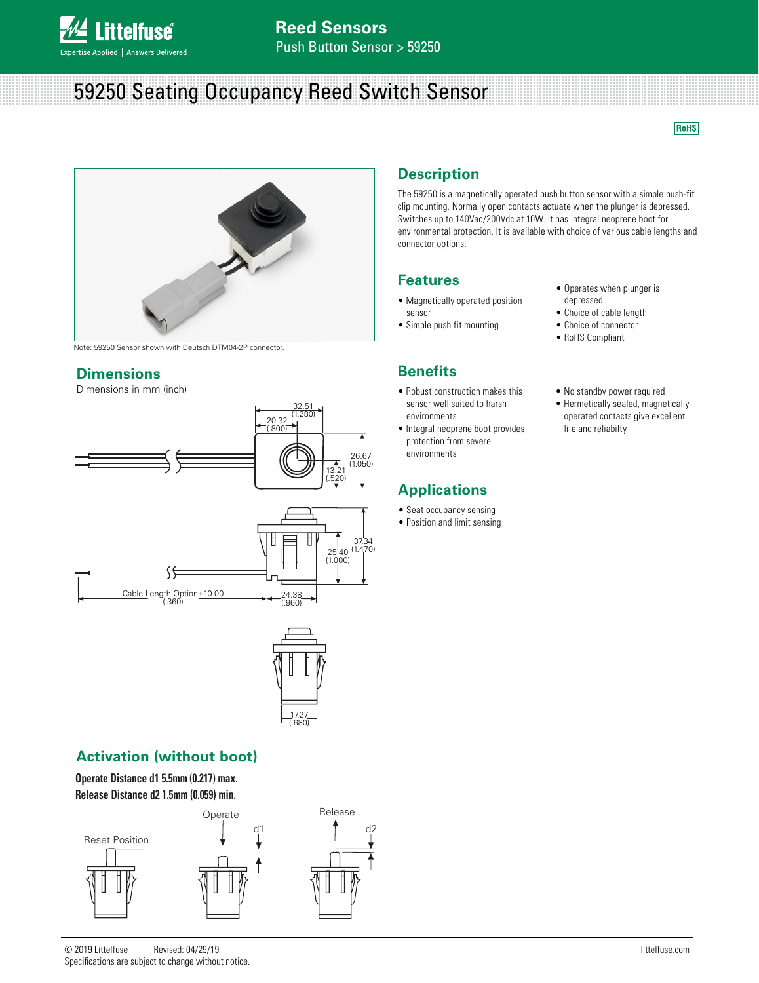

# 59250 Seating Occupancy Reed Switch Sensor

RoHS



Note: 59250 Sensor shown with Deutsch DTM04-2P connector.

#### **Dimensions**

Dimensions in mm (inch)



24.38 (.960) Cable Length Option±10.00 (.360)



### **Activation (without boot)**

**Operate Distance d1 5.5mm (0.217) max. Release Distance d2 1.5mm (0.059) min.**



### **Description**

The 59250 is a magnetically operated push button sensor with a simple push-fit clip mounting. Normally open contacts actuate when the plunger is depressed. Switches up to 140Vac/200Vdc at 10W. It has integral neoprene boot for environmental protection. It is available with choice of various cable lengths and connector options.

### **Features**

- Magnetically operated position sensor
- Simple push fit mounting

### **Benefits**

- Robust construction makes this sensor well suited to harsh environments
- Integral neoprene boot provides protection from severe environments

### **Applications**

- Seat occupancy sensing
- Position and limit sensing
- Operates when plunger is depressed
- Choice of cable length
- Choice of connector
- RoHS Compliant
- No standby power required
- Hermetically sealed, magnetically operated contacts give excellent life and reliabilty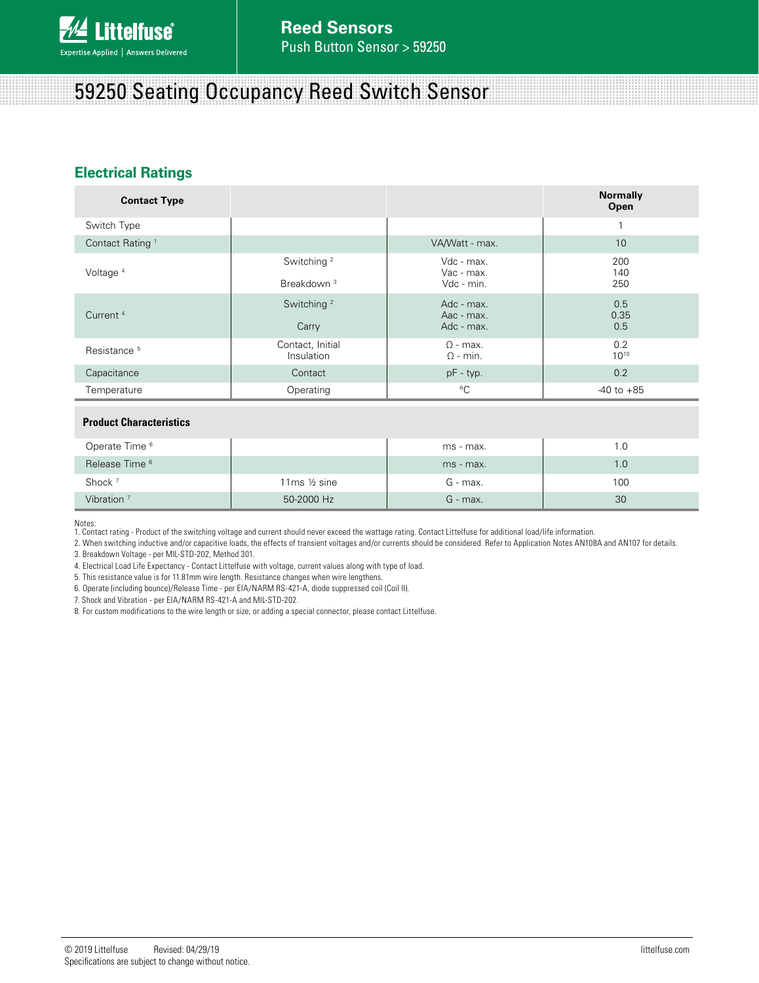

## 59250 Seating Occupancy Reed Switch Sensor

### **Electrical Ratings**

| <b>Contact Type</b>         |                                                  |                                        | <b>Normally</b><br>Open |
|-----------------------------|--------------------------------------------------|----------------------------------------|-------------------------|
| Switch Type                 |                                                  |                                        | $\mathbf{1}$            |
| Contact Rating <sup>1</sup> |                                                  | VA/Watt - max.                         | 10                      |
| Voltage <sup>4</sup>        | Switching <sup>2</sup><br>Breakdown <sup>3</sup> | Vdc - max.<br>Vac - max.<br>Vdc - min. | 200<br>140<br>250       |
| Current <sup>4</sup>        | Switching <sup>2</sup><br>Carry                  | Adc - max.<br>Aac - max.<br>Adc - max. | 0.5<br>0.35<br>0.5      |
| Resistance <sup>5</sup>     | Contact, Initial<br>Insulation                   | $\Omega$ - max.<br>$\Omega$ - min.     | 0.2<br>$10^{10}$        |
| Capacitance                 | Contact                                          | $pF - typ.$                            | 0.2                     |
| Temperature                 | Operating                                        | $^{\circ}C$                            | $-40$ to $+85$          |
|                             |                                                  |                                        |                         |

#### **Product Characteristics**

| Operate Time <sup>6</sup> |                          | ms - max.  | l .O |
|---------------------------|--------------------------|------------|------|
| Release Time <sup>6</sup> |                          | ms - max.  | 1.0  |
| Shock <sup>7</sup>        | 11 $ms \frac{1}{2} sine$ | $G$ - max. | 100  |
| Vibration <sup>7</sup>    | 50-2000 Hz               | $G$ - max. | 30   |

Notes: 1. Contact rating - Product of the switching voltage and current should never exceed the wattage rating. Contact Littelfuse for additional load/life information.

2. When switching inductive and/or capacitive loads, the effects of transient voltages and/or currents should be considered. Refer to Application Notes AN108A and AN107 for details.

3. Breakdown Voltage - per MIL-STD-202, Method 301.

4. Electrical Load Life Expectancy - Contact Littelfuse with voltage, current values along with type of load.

5. This resistance value is for 11.81mm wire length. Resistance changes when wire lengthens.

6. Operate (including bounce)/Release Time - per EIA/NARM RS-421-A, diode suppressed coil (Coil II).

7. Shock and Vibration - per EIA/NARM RS-421-A and MIL-STD-202.

8. For custom modifications to the wire length or size, or adding a special connector, please contact Littelfuse.